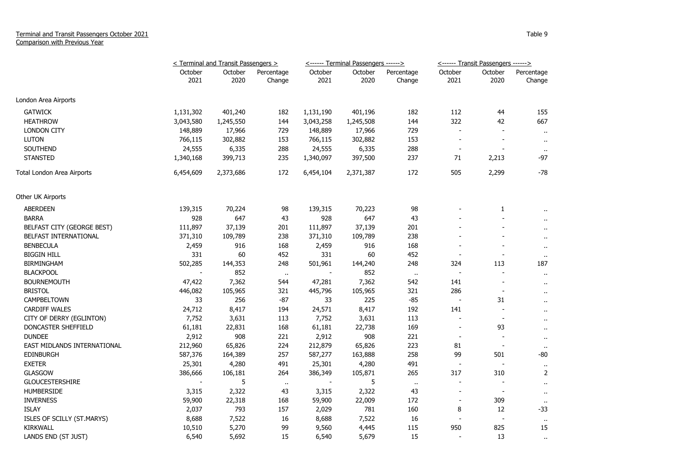## Terminal and Transit Passengers October 2021 Comparison with Previous Year

|                             | < Terminal and Transit Passengers > |                 |                      |                 | <------ Terminal Passengers ------> |                      | <------ Transit Passengers ------> |                          |                      |
|-----------------------------|-------------------------------------|-----------------|----------------------|-----------------|-------------------------------------|----------------------|------------------------------------|--------------------------|----------------------|
|                             | October<br>2021                     | October<br>2020 | Percentage<br>Change | October<br>2021 | October<br>2020                     | Percentage<br>Change | October<br>2021                    | October<br>2020          | Percentage<br>Change |
| London Area Airports        |                                     |                 |                      |                 |                                     |                      |                                    |                          |                      |
| <b>GATWICK</b>              | 1,131,302                           | 401,240         | 182                  | 1,131,190       | 401,196                             | 182                  | 112                                | 44                       | 155                  |
| <b>HEATHROW</b>             | 3,043,580                           | 1,245,550       | 144                  | 3,043,258       | 1,245,508                           | 144                  | 322                                | 42                       | 667                  |
| <b>LONDON CITY</b>          | 148,889                             | 17,966          | 729                  | 148,889         | 17,966                              | 729                  |                                    |                          | $\sim$               |
| <b>LUTON</b>                | 766,115                             | 302,882         | 153                  | 766,115         | 302,882                             | 153                  | $\sim$                             | $\sim$                   | $\sim$               |
| <b>SOUTHEND</b>             | 24,555                              | 6,335           | 288                  | 24,555          | 6,335                               | 288                  | $\overline{\phantom{a}}$           |                          | $\mathbf{u}$         |
| <b>STANSTED</b>             | 1,340,168                           | 399,713         | 235                  | 1,340,097       | 397,500                             | 237                  | 71                                 | 2,213                    | -97                  |
| Total London Area Airports  | 6,454,609                           | 2,373,686       | 172                  | 6,454,104       | 2,371,387                           | 172                  | 505                                | 2,299                    | -78                  |
| Other UK Airports           |                                     |                 |                      |                 |                                     |                      |                                    |                          |                      |
| ABERDEEN                    | 139,315                             | 70,224          | 98                   | 139,315         | 70,223                              | 98                   |                                    | 1                        |                      |
| <b>BARRA</b>                | 928                                 | 647             | 43                   | 928             | 647                                 | 43                   |                                    |                          |                      |
| BELFAST CITY (GEORGE BEST)  | 111,897                             | 37,139          | 201                  | 111,897         | 37,139                              | 201                  |                                    |                          | $\ddot{\phantom{1}}$ |
| BELFAST INTERNATIONAL       | 371,310                             | 109,789         | 238                  | 371,310         | 109,789                             | 238                  |                                    |                          | $\cdot$ .            |
| <b>BENBECULA</b>            | 2,459                               | 916             | 168                  | 2,459           | 916                                 | 168                  |                                    |                          | $\ddot{\phantom{1}}$ |
| <b>BIGGIN HILL</b>          | 331                                 | 60              | 452                  | 331             | 60                                  | 452                  | $\overline{\phantom{a}}$           |                          | $\ddot{\phantom{1}}$ |
| <b>BIRMINGHAM</b>           | 502,285                             | 144,353         | 248                  | 501,961         | 144,240                             | 248                  | 324                                | 113                      | 187                  |
| <b>BLACKPOOL</b>            |                                     | 852             | $\cdot$              |                 | 852                                 | $\sim$               | $\overline{\phantom{a}}$           | $\overline{\phantom{a}}$ | $\sim$               |
| <b>BOURNEMOUTH</b>          | 47,422                              | 7,362           | 544                  | 47,281          | 7,362                               | 542                  | 141                                | $\overline{\phantom{a}}$ | $\ddot{\phantom{1}}$ |
| <b>BRISTOL</b>              | 446,082                             | 105,965         | 321                  | 445,796         | 105,965                             | 321                  | 286                                | $\overline{\phantom{a}}$ | $\ddot{\phantom{1}}$ |
| <b>CAMPBELTOWN</b>          | 33                                  | 256             | $-87$                | 33              | 225                                 | $-85$                | $\overline{\phantom{a}}$           | 31                       | $\ddot{\phantom{1}}$ |
| <b>CARDIFF WALES</b>        | 24,712                              | 8,417           | 194                  | 24,571          | 8,417                               | 192                  | 141                                |                          | $\ddot{\phantom{1}}$ |
| CITY OF DERRY (EGLINTON)    | 7,752                               | 3,631           | 113                  | 7,752           | 3,631                               | 113                  | $\overline{\phantom{a}}$           | $\overline{\phantom{a}}$ | $\ddot{\phantom{1}}$ |
| DONCASTER SHEFFIELD         | 61,181                              | 22,831          | 168                  | 61,181          | 22,738                              | 169                  |                                    | 93                       | $\ddot{\phantom{1}}$ |
| <b>DUNDEE</b>               | 2,912                               | 908             | 221                  | 2,912           | 908                                 | 221                  | $\overline{\phantom{a}}$           | $\overline{\phantom{a}}$ | $\cdot$ .            |
| EAST MIDLANDS INTERNATIONAL | 212,960                             | 65,826          | 224                  | 212,879         | 65,826                              | 223                  | 81                                 | $\sim$                   |                      |
| <b>EDINBURGH</b>            | 587,376                             | 164,389         | 257                  | 587,277         | 163,888                             | 258                  | 99                                 | 501                      | $-80$                |
| <b>EXETER</b>               | 25,301                              | 4,280           | 491                  | 25,301          | 4,280                               | 491                  |                                    |                          | $\cdot$ .            |
| <b>GLASGOW</b>              | 386,666                             | 106,181         | 264                  | 386,349         | 105,871                             | 265                  | 317                                | 310                      | 2                    |
| <b>GLOUCESTERSHIRE</b>      |                                     | 5               | $\ddot{\phantom{1}}$ |                 | 5                                   | $\sim$               |                                    |                          | $\ddot{\phantom{1}}$ |
| <b>HUMBERSIDE</b>           | 3,315                               | 2,322           | 43                   | 3,315           | 2,322                               | 43                   | $\overline{\phantom{a}}$           | $\overline{\phantom{a}}$ | $\ddot{\phantom{1}}$ |
| <b>INVERNESS</b>            | 59,900                              | 22,318          | 168                  | 59,900          | 22,009                              | 172                  | $\overline{\phantom{a}}$           | 309                      | $\cdot$ .            |
| <b>ISLAY</b>                | 2,037                               | 793             | 157                  | 2,029           | 781                                 | 160                  | 8                                  | 12                       | $-33$                |
| ISLES OF SCILLY (ST.MARYS)  | 8,688                               | 7,522           | 16                   | 8,688           | 7,522                               | 16                   |                                    | $\overline{\phantom{a}}$ | $\alpha$             |
| <b>KIRKWALL</b>             | 10,510                              | 5,270           | 99                   | 9,560           | 4,445                               | 115                  | 950                                | 825                      | 15                   |
| LANDS END (ST JUST)         | 6,540                               | 5,692           | 15                   | 6,540           | 5,679                               | 15                   |                                    | 13                       | $\mathbf{u}$         |